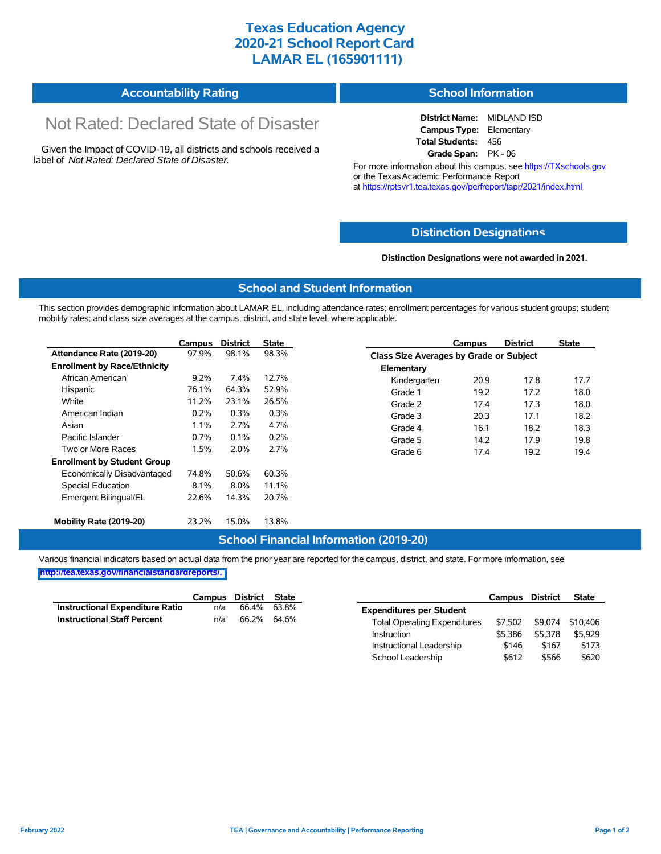## **Texas Education Agency 2020-21 School Report Card LAMAR EL (165901111)**

| <b>Accountability Rating</b> | School Information |
|------------------------------|--------------------|
|------------------------------|--------------------|

# Not Rated: Declared State of Disaster

Given the Impact of COVID-19, all districts and schools received a label of *Not Rated: Declared State of Disaster.*

**District Name:** MIDLAND ISD **Campus Type:** Elementary **Total Students:** 456 **Grade Span:** PK - 06

For more information about this campus, see https://TXschools.gov or the Texas Academic Performance Report at https://rptsvr1.tea.texas.gov/perfreport/tapr/2021/index.html

### **Distinction Designat[ions](https://TXschools.gov)**

**Distinction Designations were not awarded in 2021.**

School Leadership  $$612$  \$566 \$620

#### **School and Student Information**

This section provides demographic information about LAMAR EL, including attendance rates; enrollment percentages for various student groups; student mobility rates; and class size averages at the campus, district, and state level, where applicable.

|                                     | Campus | <b>District</b> | State |              | Campus                                  | <b>District</b> | <b>State</b> |  |
|-------------------------------------|--------|-----------------|-------|--------------|-----------------------------------------|-----------------|--------------|--|
| Attendance Rate (2019-20)           | 97.9%  | 98.1%           | 98.3% |              | Class Size Averages by Grade or Subject |                 |              |  |
| <b>Enrollment by Race/Ethnicity</b> |        |                 |       | Elementary   |                                         |                 |              |  |
| African American                    | 9.2%   | 7.4%            | 12.7% | Kindergarten | 20.9                                    | 17.8            | 17.7         |  |
| Hispanic                            | 76.1%  | 64.3%           | 52.9% | Grade 1      | 19.2                                    | 17.2            | 18.0         |  |
| White                               | 11.2%  | 23.1%           | 26.5% | Grade 2      | 17.4                                    | 17.3            | 18.0         |  |
| American Indian                     | 0.2%   | 0.3%            | 0.3%  | Grade 3      | 20.3                                    | 17.1            | 18.2         |  |
| Asian                               | 1.1%   | 2.7%            | 4.7%  | Grade 4      | 16.1                                    | 18.2            | 18.3         |  |
| Pacific Islander                    | 0.7%   | 0.1%            | 0.2%  | Grade 5      | 14.2                                    | 17.9            | 19.8         |  |
| Two or More Races                   | 1.5%   | 2.0%            | 2.7%  | Grade 6      | 17.4                                    | 19.2            | 19.4         |  |
| <b>Enrollment by Student Group</b>  |        |                 |       |              |                                         |                 |              |  |
| Economically Disadvantaged          | 74.8%  | 50.6%           | 60.3% |              |                                         |                 |              |  |
| Special Education                   | 8.1%   | $8.0\%$         | 11.1% |              |                                         |                 |              |  |
| Emergent Bilingual/EL               | 22.6%  | 14.3%           | 20.7% |              |                                         |                 |              |  |
|                                     |        |                 |       |              |                                         |                 |              |  |
| Mobility Rate (2019-20)             | 23.2%  | 15.0%           | 13.8% |              |                                         |                 |              |  |

#### **School Financial Information (2019-20)**

Various financial indicators based on actual data from the prior year are reported for the campus, district, and state. For more information, see

**[http://tea.texas.gov/financialstandardreports/.](http://tea.texas.gov/financialstandardreports/)**

|                                    | Campus | District | <b>State</b> |                                     | Campus  | <b>District</b> | <b>State</b> |
|------------------------------------|--------|----------|--------------|-------------------------------------|---------|-----------------|--------------|
| Instructional Expenditure Ratio    | n/a    | 66.4%    | 63.8%        | <b>Expenditures per Student</b>     |         |                 |              |
| <b>Instructional Staff Percent</b> | n/a    | 66.2%    | 64.6%        | <b>Total Operating Expenditures</b> | \$7.502 | \$9.074         | \$10.406     |
|                                    |        |          |              | Instruction                         | \$5.386 | \$5.378         | \$5,929      |
|                                    |        |          |              | Instructional Leadership            | \$146   | \$167           | \$173        |